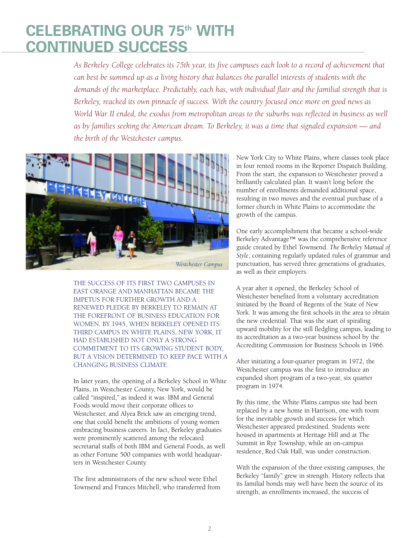## **CELEBRATING OUR 75th WITH CONTINUED SUCCESS**

*As Berkeley College celebrates its 75th year, its five campuses each look to a record of achievement that can best be summed up as a living history that balances the parallel interests of students with the demands of the marketplace. Predictably, each has, with individual flair and the familial strength that is Berkeley, reached its own pinnacle of success. With the country focused once more on good news as* World War II ended, the exodus from metropolitan areas to the suburbs was reflected in business as well *as by families seeking the American dream. To Berkeley, it was a time that signaled expansion — and the birth of the Westchester campus.*



THE SUCCESS OF ITS FIRST TWO CAMPUSES IN EAST ORANGE AND MANHATTAN BECAME THE IMPETUS FOR FURTHER GROWTH AND A RENEWED PLEDGE BY BERKELEY TO REMAIN AT THE FOREFRONT OF BUSINESS EDUCATION FOR WOMEN. BY 1945, WHEN BERKELEY OPENED ITS THIRD CAMPUS IN WHITE PLAINS, NEW YORK, IT HAD ESTABLISHED NOT ONLY A STRONG COMMITMENT TO ITS GROWING STUDENT BODY, BUT A VISION DETERMINED TO KEEP PACE WITH A CHANGING BUSINESS CLIMATE.

In later years, the opening of a Berkeley School in White Plains, in Westchester County, New York, would be called "inspired," as indeed it was. IBM and General Foods would move their corporate offices to Westchester, and Alyea Brick saw an emerging trend, one that could benefit the ambitions of young women embracing business careers. In fact, Berkeley graduates were prominently scattered among the relocated secretarial staffs of both IBM and General Foods, as well as other Fortune 500 companies with world headquarters in Westchester County.

The first administrators of the new school were Ethel Townsend and Frances Mitchell, who transferred from New York City to White Plains, where classes took place in four rented rooms in the Reporter Dispatch Building. From the start, the expansion to Westchester proved a brilliantly calculated plan. It wasn't long before the number of enrollments demanded additional space, resulting in two moves and the eventual purchase of a former church in White Plains to accommodate the growth of the campus.

One early accomplishment that became a school-wide Berkeley Advantage™ was the comprehensive reference guide created by Ethel Townsend. *The Berkeley Manual of Style*, containing regularly updated rules of grammar and punctuation, has served three generations of graduates, as well as their employers.

A year after it opened, the Berkeley School of Westchester benefited from a voluntary accreditation initiated by the Board of Regents of the State of New York. It was among the first schools in the area to obtain the new credential. That was the start of spiraling upward mobility for the still fledgling campus, leading to its accreditation as a two-year business school by the Accrediting Commission for Business Schools in 1966.

After initiating a four-quarter program in 1972, the Westchester campus was the first to introduce an expanded short program of a two-year, six quarter program in 1974.

By this time, the White Plains campus site had been replaced by a new home in Harrison, one with room for the inevitable growth and success for which Westchester appeared predestined. Students were housed in apartments at Heritage Hill and at The Summit in Rye Township, while an on-campus residence, Red Oak Hall, was under construction.

With the expansion of the three existing campuses, the Berkeley "family" grew in strength. History reflects that its familial bonds may well have been the source of its strength, as enrollments increased, the success of